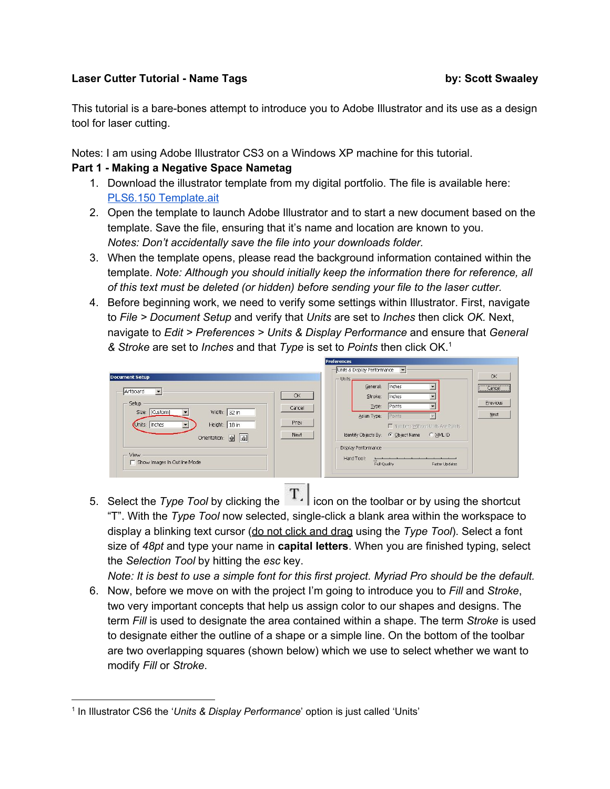## **Laser Cutter Tutorial - Name Tags by: Scott Swaaley**

This tutorial is a bare-bones attempt to introduce you to Adobe Illustrator and its use as a design tool for laser cutting.

Notes: I am using Adobe Illustrator CS3 on a Windows XP machine for this tutorial.

## **Part 1 - Making a Negative Space Nametag**

- 1. Download the illustrator template from my digital portfolio. The file is available here: PLS6.150 [Template.ait](http://pbl.scottswaaley.com/wp-content/uploads/2013/06/PLS6.150%20Template.ait)
- 2. Open the template to launch Adobe Illustrator and to start a new document based on the template. Save the file, ensuring that it's name and location are known to you. *Notes: Don't accidentally save the file into your downloads folder.*
- 3. When the template opens, please read the background information contained within the template. *Note: Although you should initially keep the information there for reference, all of this text must be deleted (or hidden) before sending your file to the laser cutter.*
- 4. Before beginning work, we need to verify some settings within Illustrator. First, navigate to *File > Document Setup* and verify that *Units* are set to *Inches* then click *OK.* Next, navigate to *Edit > Preferences > Units & Display Performance* and ensure that *General & Stroke* are set to *Inches* and that *Type* is set to *Points* then click OK. 1

| <b>Document Setup</b>                                                                                               |                      | Units & Display Performance v<br>Units:                                                                                                                               | OK                         |
|---------------------------------------------------------------------------------------------------------------------|----------------------|-----------------------------------------------------------------------------------------------------------------------------------------------------------------------|----------------------------|
| Artboard<br>$\overline{\phantom{a}}$<br>Setup<br>Width: $32 in$<br>Size: [Custom]<br>Height: 18 in<br>Units: Inches | OK<br>Cancel<br>Prev | Inches<br>General:<br>Inches<br>$\overline{\phantom{a}}$<br>Stroke:<br>Points<br>$\blacksquare$<br>Type:<br>Points<br>Asian Type:<br>Mumbers Without Units Are Points | Cancel<br>Previous<br>Next |
| Orientation: @ வ<br>View<br><b>F</b> Show Images In Outline Mode                                                    | Next                 | Identify Objects By: G Object Name G XML ID<br><b>Display Performance</b><br>Hand Tool:<br>Full Quality<br>Faster Updates                                             |                            |

5. Select the *Type Tool* by clicking the **T**. con on the toolbar or by using the shortcut "T". With the *Type Tool* now selected, single-click a blank area within the workspace to display a blinking text cursor (do not click and drag using the *Type Tool*). Select a font size of *48pt* and type your name in **capital letters**. When you are finished typing, select the *Selection Tool* by hitting the *esc* key.

Note: It is best to use a simple font for this first project. Myriad Pro should be the default.

6. Now, before we move on with the project I'm going to introduce you to *Fill* and *Stroke*, two very important concepts that help us assign color to our shapes and designs. The term *Fill* is used to designate the area contained within a shape. The term *Stroke* is used to designate either the outline of a shape or a simple line. On the bottom of the toolbar are two overlapping squares (shown below) which we use to select whether we want to modify *Fill* or *Stroke*.

<sup>1</sup> In Illustrator CS6 the '*Units & Display Performance*' option is just called 'Units'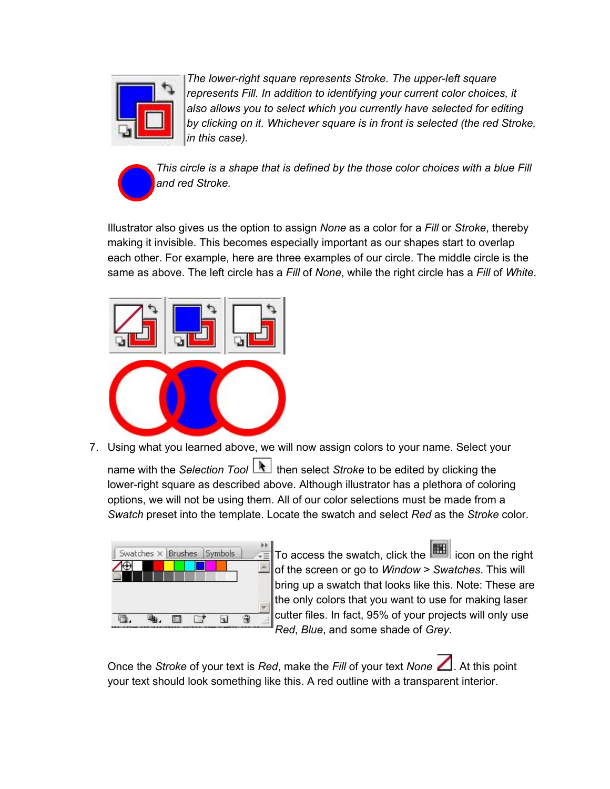

*The lower-right square represents Stroke. The upper-left square represents Fill. In addition to identifying your current color choices, it also allows you to select which you currently have selected for editing by clicking on it. Whichever square is in front is selected (the red Stroke, in this case).*



*This circle is a shape that is defined by the those color choices with a blue Fill and red Stroke.*

Illustrator also gives us the option to assign *None* as a color for a *Fill* or *Stroke*, thereby making it invisible. This becomes especially important as our shapes start to overlap each other. For example, here are three examples of our circle. The middle circle is the same as above. The left circle has a *Fill* of *None*, while the right circle has a *Fill* of *White*.



7. Using what you learned above, we will now assign colors to your name. Select your

name with the *Selection Tool* **then** select *Stroke* to be edited by clicking the lower-right square as described above. Although illustrator has a plethora of coloring options, we will not be using them. All of our color selections must be made from a *Swatch* preset into the template. Locate the swatch and select *Red* as the *Stroke* color.



To access the swatch, click the **inglese in the right** of the screen or go to *Window > Swatches*. This will bring up a swatch that looks like this. Note: These are the only colors that you want to use for making laser cutter files. In fact, 95% of your projects will only use *Red*, *Blue*, and some shade of *Grey*.

Once the *Stroke* of your text is *Red*, make the *Fill* of your text *None* 1. At this point your text should look something like this. A red outline with a transparent interior.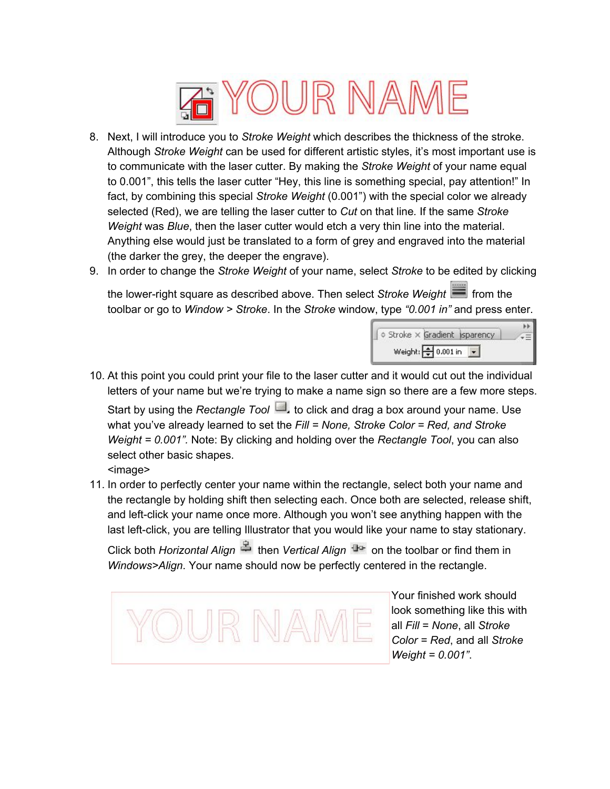

- 8. Next, I will introduce you to *Stroke Weight* which describes the thickness of the stroke. Although *Stroke Weight* can be used for different artistic styles, it's most important use is to communicate with the laser cutter. By making the *Stroke Weight* of your name equal to 0.001", this tells the laser cutter "Hey, this line is something special, pay attention!" In fact, by combining this special *Stroke Weight* (0.001") with the special color we already selected (Red), we are telling the laser cutter to *Cut* on that line*.* If the same *Stroke Weight* was *Blue*, then the laser cutter would etch a very thin line into the material. Anything else would just be translated to a form of grey and engraved into the material (the darker the grey, the deeper the engrave).
- 9. In order to change the *Stroke Weight* of your name, select *Stroke* to be edited by clicking

the lower-right square as described above. Then select *Stroke Weight* from the toolbar or go to *Window > Stroke*. In the *Stroke* window, type *"0.001 in"* and press enter.



10. At this point you could print your file to the laser cutter and it would cut out the individual letters of your name but we're trying to make a name sign so there are a few more steps. Start by using the *Rectangle Tool* **July 10 click and drag a box around your name. Use** what you've already learned to set the *Fill = None, Stroke Color = Red, and Stroke*

*Weight = 0.001".* Note: By clicking and holding over the *Rectangle Tool*, you can also select other basic shapes.

- <image>
- 11. In order to perfectly center your name within the rectangle, select both your name and the rectangle by holding shift then selecting each. Once both are selected, release shift, and left-click your name once more. Although you won't see anything happen with the last left-click, you are telling Illustrator that you would like your name to stay stationary.

Click both *Horizontal Align* <sup>et</sup> then *Vertical Align* <sup>the</sup> on the toolbar or find them in *Windows>Align*. Your name should now be perfectly centered in the rectangle.



Your finished work should look something like this with all *Fill* = *None*, all *Stroke Color = Red*, and all *Stroke Weight = 0.001"*.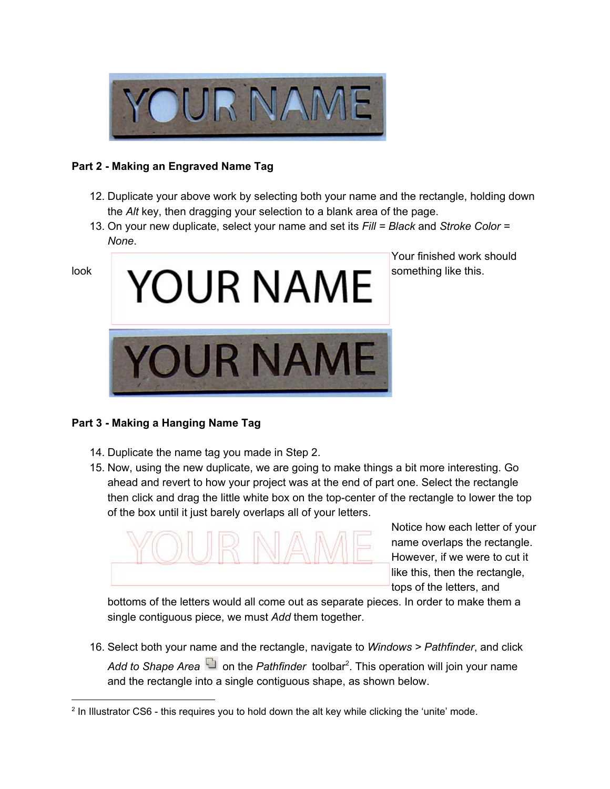

## **Part 2 - Making an Engraved Name Tag**

- 12. Duplicate your above work by selecting both your name and the rectangle, holding down the *Alt* key, then dragging your selection to a blank area of the page.
- 13. On your new duplicate, select your name and set its *Fill = Black* and *Stroke Color = None*.



Your finished work should

## **Part 3 - Making a Hanging Name Tag**

- 14. Duplicate the name tag you made in Step 2.
- 15. Now, using the new duplicate, we are going to make things a bit more interesting. Go ahead and revert to how your project was at the end of part one. Select the rectangle then click and drag the little white box on the top-center of the rectangle to lower the top of the box until it just barely overlaps all of your letters.



Notice how each letter of your name overlaps the rectangle. However, if we were to cut it like this, then the rectangle, tops of the letters, and

bottoms of the letters would all come out as separate pieces. In order to make them a single contiguous piece, we must *Add* them together.

16. Select both your name and the rectangle, navigate to *Windows > Pathfinder*, and click Add to Shape Area **D** on the Pathfinder toolbar<sup>2</sup>. This operation will join your name and the rectangle into a single contiguous shape, as shown below.

<sup>&</sup>lt;sup>2</sup> In Illustrator CS6 - this requires you to hold down the alt key while clicking the 'unite' mode.